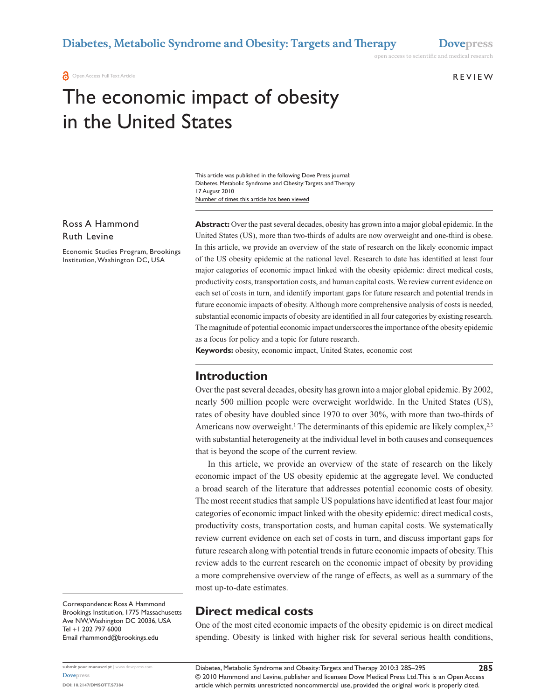**a** Open Access Full Text Article

Review

open access to scientific and medical research

# The economic impact of obesity in the United States

Number of times this article has been viewed This article was published in the following Dove Press journal: Diabetes, Metabolic Syndrome and Obesity: Targets and Therapy 17 August 2010

Ross A Hammond Ruth Levine

Economic Studies Program, Brookings Institution, Washington DC, USA

**Abstract:** Over the past several decades, obesity has grown into a major global epidemic. In the United States (US), more than two-thirds of adults are now overweight and one-third is obese. In this article, we provide an overview of the state of research on the likely economic impact of the US obesity epidemic at the national level. Research to date has identified at least four major categories of economic impact linked with the obesity epidemic: direct medical costs, productivity costs, transportation costs, and human capital costs. We review current evidence on each set of costs in turn, and identify important gaps for future research and potential trends in future economic impacts of obesity. Although more comprehensive analysis of costs is needed, substantial economic impacts of obesity are identified in all four categories by existing research. The magnitude of potential economic impact underscores the importance of the obesity epidemic as a focus for policy and a topic for future research.

**Keywords:** obesity, economic impact, United States, economic cost

## **Introduction**

Over the past several decades, obesity has grown into a major global epidemic. By 2002, nearly 500 million people were overweight worldwide. In the United States (US), rates of obesity have doubled since 1970 to over 30%, with more than two-thirds of Americans now overweight.<sup>1</sup> The determinants of this epidemic are likely complex,  $2,3$ with substantial heterogeneity at the individual level in both causes and consequences that is beyond the scope of the current review.

In this article, we provide an overview of the state of research on the likely economic impact of the US obesity epidemic at the aggregate level. We conducted a broad search of the literature that addresses potential economic costs of obesity. The most recent studies that sample US populations have identified at least four major categories of economic impact linked with the obesity epidemic: direct medical costs, productivity costs, transportation costs, and human capital costs. We systematically review current evidence on each set of costs in turn, and discuss important gaps for future research along with potential trends in future economic impacts of obesity. This review adds to the current research on the economic impact of obesity by providing a more comprehensive overview of the range of effects, as well as a summary of the most up-to-date estimates.

Correspondence: Ross A Hammond Brookings Institution, 1775 Massachusetts Ave NW, Washington DC 20036, USA Tel +1 202 797 6000 Email rhammond@brookings.edu

**[Dovepress](www.dovepress.com)**

**DOI: 10.2147/DMSOTT.S7384**

# **Direct medical costs**

One of the most cited economic impacts of the obesity epidemic is on direct medical spending. Obesity is linked with higher risk for several serious health conditions,

© 2010 Hammond and Levine, publisher and licensee Dove Medical Press Ltd. This is an Open Access article which permits unrestricted noncommercial use, provided the original work is properly cited. Diabetes, Metabolic Syndrome and Obesity: Targets and Therapy 2010:3 285–295 **submit your manuscript** | <www.dovepress.com>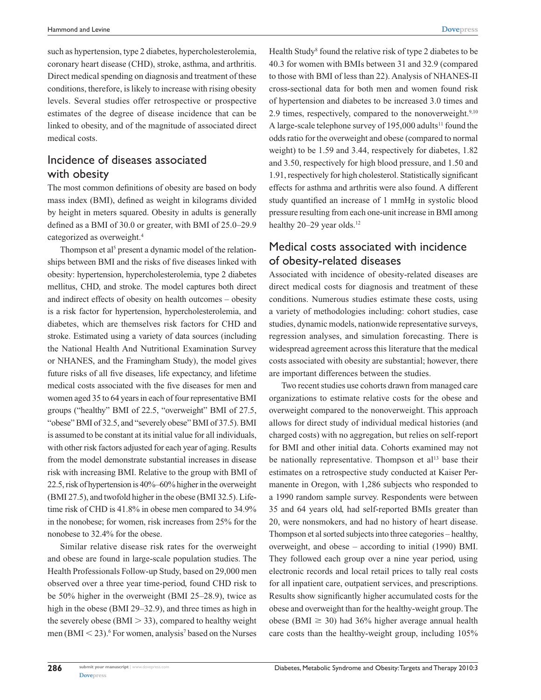such as hypertension, type 2 diabetes, hypercholesterolemia, coronary heart disease (CHD), stroke, asthma, and arthritis. Direct medical spending on diagnosis and treatment of these conditions, therefore, is likely to increase with rising obesity levels. Several studies offer retrospective or prospective estimates of the degree of disease incidence that can be linked to obesity, and of the magnitude of associated direct medical costs.

# Incidence of diseases associated with obesity

The most common definitions of obesity are based on body mass index (BMI), defined as weight in kilograms divided by height in meters squared. Obesity in adults is generally defined as a BMI of 30.0 or greater, with BMI of 25.0–29.9 categorized as overweight.4

Thompson et al<sup>5</sup> present a dynamic model of the relationships between BMI and the risks of five diseases linked with obesity: hypertension, hypercholesterolemia, type 2 diabetes mellitus, CHD, and stroke. The model captures both direct and indirect effects of obesity on health outcomes – obesity is a risk factor for hypertension, hypercholesterolemia, and diabetes, which are themselves risk factors for CHD and stroke. Estimated using a variety of data sources (including the National Health And Nutritional Examination Survey or NHANES, and the Framingham Study), the model gives future risks of all five diseases, life expectancy, and lifetime medical costs associated with the five diseases for men and women aged 35 to 64 years in each of four representative BMI groups ("healthy" BMI of 22.5, "overweight" BMI of 27.5, "obese" BMI of 32.5, and "severely obese" BMI of 37.5). BMI is assumed to be constant at its initial value for all individuals, with other risk factors adjusted for each year of aging. Results from the model demonstrate substantial increases in disease risk with increasing BMI. Relative to the group with BMI of 22.5, risk of hypertension is 40%–60% higher in the overweight (BMI 27.5), and twofold higher in the obese (BMI 32.5). Lifetime risk of CHD is 41.8% in obese men compared to 34.9% in the nonobese; for women, risk increases from 25% for the nonobese to 32.4% for the obese.

Similar relative disease risk rates for the overweight and obese are found in large-scale population studies. The Health Professionals Follow-up Study, based on 29,000 men observed over a three year time-period, found CHD risk to be 50% higher in the overweight (BMI 25–28.9), twice as high in the obese (BMI 29–32.9), and three times as high in the severely obese ( $BMI > 33$ ), compared to healthy weight men  $(BMI < 23)$ . <sup>6</sup> For women, analysis<sup>7</sup> based on the Nurses

Health Study<sup>8</sup> found the relative risk of type 2 diabetes to be 40.3 for women with BMIs between 31 and 32.9 (compared to those with BMI of less than 22). Analysis of NHANES-II cross-sectional data for both men and women found risk of hypertension and diabetes to be increased 3.0 times and 2.9 times, respectively, compared to the nonoverweight. $9,10$ A large-scale telephone survey of  $195,000$  adults<sup>11</sup> found the odds ratio for the overweight and obese (compared to normal weight) to be 1.59 and 3.44, respectively for diabetes, 1.82 and 3.50, respectively for high blood pressure, and 1.50 and 1.91, respectively for high cholesterol. Statistically significant effects for asthma and arthritis were also found. A different study quantified an increase of 1 mmHg in systolic blood pressure resulting from each one-unit increase in BMI among healthy 20–29 year olds.<sup>12</sup>

# Medical costs associated with incidence of obesity-related diseases

Associated with incidence of obesity-related diseases are direct medical costs for diagnosis and treatment of these conditions. Numerous studies estimate these costs, using a variety of methodologies including: cohort studies, case studies, dynamic models, nationwide representative surveys, regression analyses, and simulation forecasting. There is widespread agreement across this literature that the medical costs associated with obesity are substantial; however, there are important differences between the studies.

Two recent studies use cohorts drawn from managed care organizations to estimate relative costs for the obese and overweight compared to the nonoverweight. This approach allows for direct study of individual medical histories (and charged costs) with no aggregation, but relies on self-report for BMI and other initial data. Cohorts examined may not be nationally representative. Thompson et al<sup>13</sup> base their estimates on a retrospective study conducted at Kaiser Permanente in Oregon, with 1,286 subjects who responded to a 1990 random sample survey. Respondents were between 35 and 64 years old, had self-reported BMIs greater than 20, were nonsmokers, and had no history of heart disease. Thompson et al sorted subjects into three categories – healthy, overweight, and obese – according to initial (1990) BMI. They followed each group over a nine year period, using electronic records and local retail prices to tally real costs for all inpatient care, outpatient services, and prescriptions. Results show significantly higher accumulated costs for the obese and overweight than for the healthy-weight group. The obese (BMI  $\geq$  30) had 36% higher average annual health care costs than the healthy-weight group, including 105%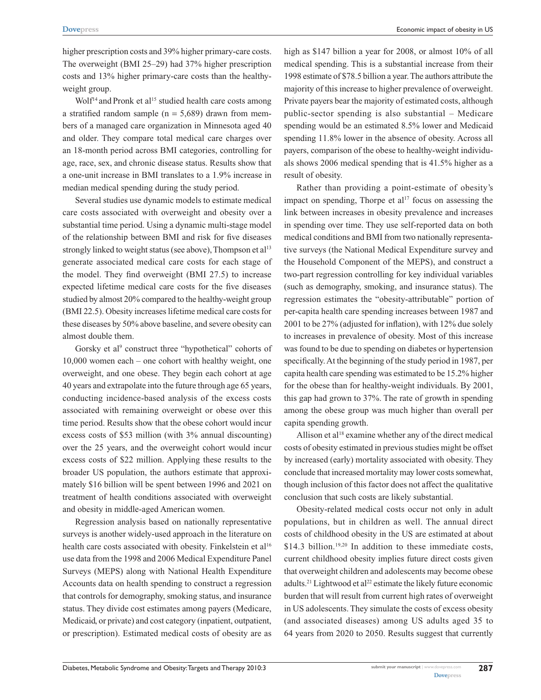higher prescription costs and 39% higher primary-care costs. The overweight (BMI 25–29) had 37% higher prescription costs and 13% higher primary-care costs than the healthyweight group.

Wolf<sup>14</sup> and Pronk et al<sup>15</sup> studied health care costs among a stratified random sample ( $n = 5,689$ ) drawn from members of a managed care organization in Minnesota aged 40 and older. They compare total medical care charges over an 18-month period across BMI categories, controlling for age, race, sex, and chronic disease status. Results show that a one-unit increase in BMI translates to a 1.9% increase in median medical spending during the study period.

Several studies use dynamic models to estimate medical care costs associated with overweight and obesity over a substantial time period. Using a dynamic multi-stage model of the relationship between BMI and risk for five diseases strongly linked to weight status (see above), Thompson et al<sup>13</sup> generate associated medical care costs for each stage of the model. They find overweight (BMI 27.5) to increase expected lifetime medical care costs for the five diseases studied by almost 20% compared to the healthy-weight group (BMI 22.5). Obesity increases lifetime medical care costs for these diseases by 50% above baseline, and severe obesity can almost double them.

Gorsky et al<sup>9</sup> construct three "hypothetical" cohorts of 10,000 women each – one cohort with healthy weight, one overweight, and one obese. They begin each cohort at age 40 years and extrapolate into the future through age 65 years, conducting incidence-based analysis of the excess costs associated with remaining overweight or obese over this time period. Results show that the obese cohort would incur excess costs of \$53 million (with 3% annual discounting) over the 25 years, and the overweight cohort would incur excess costs of \$22 million. Applying these results to the broader US population, the authors estimate that approximately \$16 billion will be spent between 1996 and 2021 on treatment of health conditions associated with overweight and obesity in middle-aged American women.

Regression analysis based on nationally representative surveys is another widely-used approach in the literature on health care costs associated with obesity. Finkelstein et al<sup>16</sup> use data from the 1998 and 2006 Medical Expenditure Panel Surveys (MEPS) along with National Health Expenditure Accounts data on health spending to construct a regression that controls for demography, smoking status, and insurance status. They divide cost estimates among payers (Medicare, Medicaid, or private) and cost category (inpatient, outpatient, or prescription). Estimated medical costs of obesity are as high as \$147 billion a year for 2008, or almost 10% of all medical spending. This is a substantial increase from their 1998 estimate of \$78.5 billion a year. The authors attribute the majority of this increase to higher prevalence of overweight. Private payers bear the majority of estimated costs, although public-sector spending is also substantial – Medicare spending would be an estimated 8.5% lower and Medicaid spending 11.8% lower in the absence of obesity. Across all payers, comparison of the obese to healthy-weight individuals shows 2006 medical spending that is 41.5% higher as a result of obesity.

Rather than providing a point-estimate of obesity's impact on spending, Thorpe et  $a^{17}$  focus on assessing the link between increases in obesity prevalence and increases in spending over time. They use self-reported data on both medical conditions and BMI from two nationally representative surveys (the National Medical Expenditure survey and the Household Component of the MEPS), and construct a two-part regression controlling for key individual variables (such as demography, smoking, and insurance status). The regression estimates the "obesity-attributable" portion of per-capita health care spending increases between 1987 and 2001 to be 27% (adjusted for inflation), with 12% due solely to increases in prevalence of obesity. Most of this increase was found to be due to spending on diabetes or hypertension specifically. At the beginning of the study period in 1987, per capita health care spending was estimated to be 15.2% higher for the obese than for healthy-weight individuals. By 2001, this gap had grown to 37%. The rate of growth in spending among the obese group was much higher than overall per capita spending growth.

Allison et al<sup>18</sup> examine whether any of the direct medical costs of obesity estimated in previous studies might be offset by increased (early) mortality associated with obesity. They conclude that increased mortality may lower costs somewhat, though inclusion of this factor does not affect the qualitative conclusion that such costs are likely substantial.

Obesity-related medical costs occur not only in adult populations, but in children as well. The annual direct costs of childhood obesity in the US are estimated at about  $$14.3$  billion.<sup>19,20</sup> In addition to these immediate costs, current childhood obesity implies future direct costs given that overweight children and adolescents may become obese adults.<sup>21</sup> Lightwood et al<sup>22</sup> estimate the likely future economic burden that will result from current high rates of overweight in US adolescents. They simulate the costs of excess obesity (and associated diseases) among US adults aged 35 to 64 years from 2020 to 2050. Results suggest that currently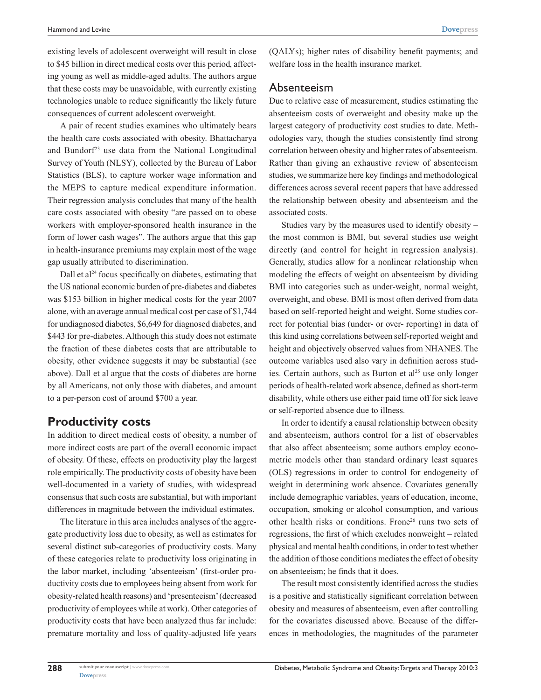existing levels of adolescent overweight will result in close to \$45 billion in direct medical costs over this period, affecting young as well as middle-aged adults. The authors argue that these costs may be unavoidable, with currently existing technologies unable to reduce significantly the likely future consequences of current adolescent overweight.

A pair of recent studies examines who ultimately bears the health care costs associated with obesity. Bhattacharya and Bundorf<sup>23</sup> use data from the National Longitudinal Survey of Youth (NLSY), collected by the Bureau of Labor Statistics (BLS), to capture worker wage information and the MEPS to capture medical expenditure information. Their regression analysis concludes that many of the health care costs associated with obesity "are passed on to obese workers with employer-sponsored health insurance in the form of lower cash wages". The authors argue that this gap in health-insurance premiums may explain most of the wage gap usually attributed to discrimination.

Dall et  $a^{24}$  focus specifically on diabetes, estimating that the US national economic burden of pre-diabetes and diabetes was \$153 billion in higher medical costs for the year 2007 alone, with an average annual medical cost per case of \$1,744 for undiagnosed diabetes, \$6,649 for diagnosed diabetes, and \$443 for pre-diabetes. Although this study does not estimate the fraction of these diabetes costs that are attributable to obesity, other evidence suggests it may be substantial (see above). Dall et al argue that the costs of diabetes are borne by all Americans, not only those with diabetes, and amount to a per-person cost of around \$700 a year.

# **Productivity costs**

In addition to direct medical costs of obesity, a number of more indirect costs are part of the overall economic impact of obesity. Of these, effects on productivity play the largest role empirically. The productivity costs of obesity have been well-documented in a variety of studies, with widespread consensus that such costs are substantial, but with important differences in magnitude between the individual estimates.

The literature in this area includes analyses of the aggregate productivity loss due to obesity, as well as estimates for several distinct sub-categories of productivity costs. Many of these categories relate to productivity loss originating in the labor market, including 'absenteeism' (first-order productivity costs due to employees being absent from work for obesity-related health reasons) and 'presenteeism' (decreased productivity of employees while at work). Other categories of productivity costs that have been analyzed thus far include: premature mortality and loss of quality-adjusted life years (QALYs); higher rates of disability benefit payments; and welfare loss in the health insurance market.

#### Absenteeism

Due to relative ease of measurement, studies estimating the absenteeism costs of overweight and obesity make up the largest category of productivity cost studies to date. Methodologies vary, though the studies consistently find strong correlation between obesity and higher rates of absenteeism. Rather than giving an exhaustive review of absenteeism studies, we summarize here key findings and methodological differences across several recent papers that have addressed the relationship between obesity and absenteeism and the associated costs.

Studies vary by the measures used to identify obesity – the most common is BMI, but several studies use weight directly (and control for height in regression analysis). Generally, studies allow for a nonlinear relationship when modeling the effects of weight on absenteeism by dividing BMI into categories such as under-weight, normal weight, overweight, and obese. BMI is most often derived from data based on self-reported height and weight. Some studies correct for potential bias (under- or over- reporting) in data of this kind using correlations between self-reported weight and height and objectively observed values from NHANES. The outcome variables used also vary in definition across studies. Certain authors, such as Burton et al<sup>25</sup> use only longer periods of health-related work absence, defined as short-term disability, while others use either paid time off for sick leave or self-reported absence due to illness.

In order to identify a causal relationship between obesity and absenteeism, authors control for a list of observables that also affect absenteeism; some authors employ econometric models other than standard ordinary least squares (OLS) regressions in order to control for endogeneity of weight in determining work absence. Covariates generally include demographic variables, years of education, income, occupation, smoking or alcohol consumption, and various other health risks or conditions. Frone<sup>26</sup> runs two sets of regressions, the first of which excludes nonweight – related physical and mental health conditions, in order to test whether the addition of those conditions mediates the effect of obesity on absenteeism; he finds that it does.

The result most consistently identified across the studies is a positive and statistically significant correlation between obesity and measures of absenteeism, even after controlling for the covariates discussed above. Because of the differences in methodologies, the magnitudes of the parameter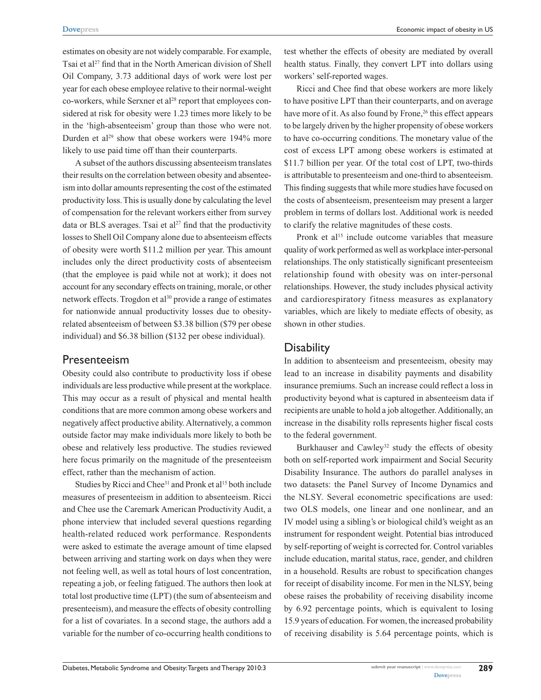estimates on obesity are not widely comparable. For example, Tsai et al<sup>27</sup> find that in the North American division of Shell Oil Company, 3.73 additional days of work were lost per year for each obese employee relative to their normal-weight co-workers, while Serxner et al<sup>28</sup> report that employees considered at risk for obesity were 1.23 times more likely to be in the 'high-absenteeism' group than those who were not. Durden et  $al^{29}$  show that obese workers were 194% more likely to use paid time off than their counterparts.

A subset of the authors discussing absenteeism translates their results on the correlation between obesity and absenteeism into dollar amounts representing the cost of the estimated productivity loss. This is usually done by calculating the level of compensation for the relevant workers either from survey data or BLS averages. Tsai et  $al^{27}$  find that the productivity losses to Shell Oil Company alone due to absenteeism effects of obesity were worth \$11.2 million per year. This amount includes only the direct productivity costs of absenteeism (that the employee is paid while not at work); it does not account for any secondary effects on training, morale, or other network effects. Trogdon et al<sup>30</sup> provide a range of estimates for nationwide annual productivity losses due to obesityrelated absenteeism of between \$3.38 billion (\$79 per obese individual) and \$6.38 billion (\$132 per obese individual).

#### Presenteeism

Obesity could also contribute to productivity loss if obese individuals are less productive while present at the workplace. This may occur as a result of physical and mental health conditions that are more common among obese workers and negatively affect productive ability. Alternatively, a common outside factor may make individuals more likely to both be obese and relatively less productive. The studies reviewed here focus primarily on the magnitude of the presenteeism effect, rather than the mechanism of action.

Studies by Ricci and Chee<sup>31</sup> and Pronk et al<sup>15</sup> both include measures of presenteeism in addition to absenteeism. Ricci and Chee use the Caremark American Productivity Audit, a phone interview that included several questions regarding health-related reduced work performance. Respondents were asked to estimate the average amount of time elapsed between arriving and starting work on days when they were not feeling well, as well as total hours of lost concentration, repeating a job, or feeling fatigued. The authors then look at total lost productive time (LPT) (the sum of absenteeism and presenteeism), and measure the effects of obesity controlling for a list of covariates. In a second stage, the authors add a variable for the number of co-occurring health conditions to test whether the effects of obesity are mediated by overall health status. Finally, they convert LPT into dollars using workers' self-reported wages.

Ricci and Chee find that obese workers are more likely to have positive LPT than their counterparts, and on average have more of it. As also found by Frone,<sup>26</sup> this effect appears to be largely driven by the higher propensity of obese workers to have co-occurring conditions. The monetary value of the cost of excess LPT among obese workers is estimated at \$11.7 billion per year. Of the total cost of LPT, two-thirds is attributable to presenteeism and one-third to absenteeism. This finding suggests that while more studies have focused on the costs of absenteeism, presenteeism may present a larger problem in terms of dollars lost. Additional work is needed to clarify the relative magnitudes of these costs.

Pronk et al<sup>15</sup> include outcome variables that measure quality of work performed as well as workplace inter-personal relationships. The only statistically significant presenteeism relationship found with obesity was on inter-personal relationships. However, the study includes physical activity and cardiorespiratory fitness measures as explanatory variables, which are likely to mediate effects of obesity, as shown in other studies.

#### **Disability**

In addition to absenteeism and presenteeism, obesity may lead to an increase in disability payments and disability insurance premiums. Such an increase could reflect a loss in productivity beyond what is captured in absenteeism data if recipients are unable to hold a job altogether. Additionally, an increase in the disability rolls represents higher fiscal costs to the federal government.

Burkhauser and Cawley<sup>32</sup> study the effects of obesity both on self-reported work impairment and Social Security Disability Insurance. The authors do parallel analyses in two datasets: the Panel Survey of Income Dynamics and the NLSY. Several econometric specifications are used: two OLS models, one linear and one nonlinear, and an IV model using a sibling's or biological child's weight as an instrument for respondent weight. Potential bias introduced by self-reporting of weight is corrected for. Control variables include education, marital status, race, gender, and children in a household. Results are robust to specification changes for receipt of disability income. For men in the NLSY, being obese raises the probability of receiving disability income by 6.92 percentage points, which is equivalent to losing 15.9 years of education. For women, the increased probability of receiving disability is 5.64 percentage points, which is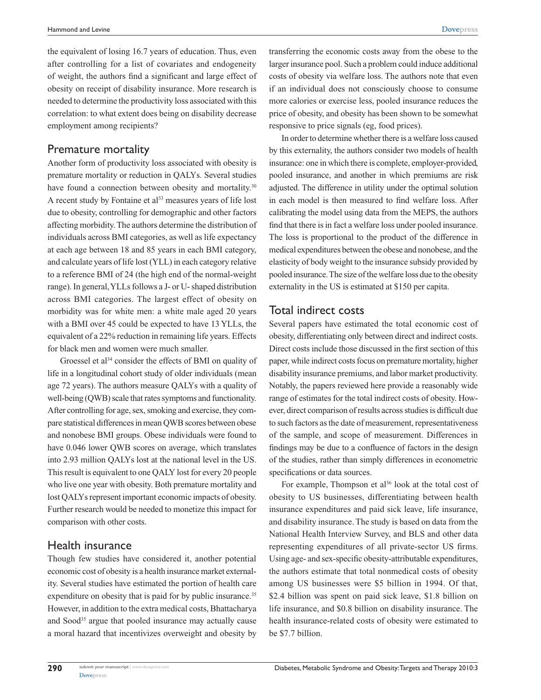the equivalent of losing 16.7 years of education. Thus, even after controlling for a list of covariates and endogeneity of weight, the authors find a significant and large effect of obesity on receipt of disability insurance. More research is needed to determine the productivity loss associated with this correlation: to what extent does being on disability decrease employment among recipients?

## Premature mortality

Another form of productivity loss associated with obesity is premature mortality or reduction in QALYs. Several studies have found a connection between obesity and mortality.<sup>30</sup> A recent study by Fontaine et al<sup>33</sup> measures years of life lost due to obesity, controlling for demographic and other factors affecting morbidity. The authors determine the distribution of individuals across BMI categories, as well as life expectancy at each age between 18 and 85 years in each BMI category, and calculate years of life lost (YLL) in each category relative to a reference BMI of 24 (the high end of the normal-weight range). In general, YLLs follows a J- or U- shaped distribution across BMI categories. The largest effect of obesity on morbidity was for white men: a white male aged 20 years with a BMI over 45 could be expected to have 13 YLLs, the equivalent of a 22% reduction in remaining life years. Effects for black men and women were much smaller.

Groessel et al<sup>34</sup> consider the effects of BMI on quality of life in a longitudinal cohort study of older individuals (mean age 72 years). The authors measure QALYs with a quality of well-being (QWB) scale that rates symptoms and functionality. After controlling for age, sex, smoking and exercise, they compare statistical differences in mean QWB scores between obese and nonobese BMI groups. Obese individuals were found to have 0.046 lower QWB scores on average, which translates into 2.93 million QALYs lost at the national level in the US. This result is equivalent to one QALY lost for every 20 people who live one year with obesity. Both premature mortality and lost QALYs represent important economic impacts of obesity. Further research would be needed to monetize this impact for comparison with other costs.

## Health insurance

Though few studies have considered it, another potential economic cost of obesity is a health insurance market externality. Several studies have estimated the portion of health care expenditure on obesity that is paid for by public insurance.<sup>35</sup> However, in addition to the extra medical costs, Bhattacharya and Sood<sup>35</sup> argue that pooled insurance may actually cause a moral hazard that incentivizes overweight and obesity by

transferring the economic costs away from the obese to the larger insurance pool. Such a problem could induce additional costs of obesity via welfare loss. The authors note that even if an individual does not consciously choose to consume more calories or exercise less, pooled insurance reduces the price of obesity, and obesity has been shown to be somewhat responsive to price signals (eg, food prices).

In order to determine whether there is a welfare loss caused by this externality, the authors consider two models of health insurance: one in which there is complete, employer-provided, pooled insurance, and another in which premiums are risk adjusted. The difference in utility under the optimal solution in each model is then measured to find welfare loss. After calibrating the model using data from the MEPS, the authors find that there is in fact a welfare loss under pooled insurance. The loss is proportional to the product of the difference in medical expenditures between the obese and nonobese, and the elasticity of body weight to the insurance subsidy provided by pooled insurance. The size of the welfare loss due to the obesity externality in the US is estimated at \$150 per capita.

# Total indirect costs

Several papers have estimated the total economic cost of obesity, differentiating only between direct and indirect costs. Direct costs include those discussed in the first section of this paper, while indirect costs focus on premature mortality, higher disability insurance premiums, and labor market productivity. Notably, the papers reviewed here provide a reasonably wide range of estimates for the total indirect costs of obesity. However, direct comparison of results across studies is difficult due to such factors as the date of measurement, representativeness of the sample, and scope of measurement. Differences in findings may be due to a confluence of factors in the design of the studies, rather than simply differences in econometric specifications or data sources.

For example, Thompson et al<sup>36</sup> look at the total cost of obesity to US businesses, differentiating between health insurance expenditures and paid sick leave, life insurance, and disability insurance. The study is based on data from the National Health Interview Survey, and BLS and other data representing expenditures of all private-sector US firms. Using age- and sex-specific obesity-attributable expenditures, the authors estimate that total nonmedical costs of obesity among US businesses were \$5 billion in 1994. Of that, \$2.4 billion was spent on paid sick leave, \$1.8 billion on life insurance, and \$0.8 billion on disability insurance. The health insurance-related costs of obesity were estimated to be \$7.7 billion.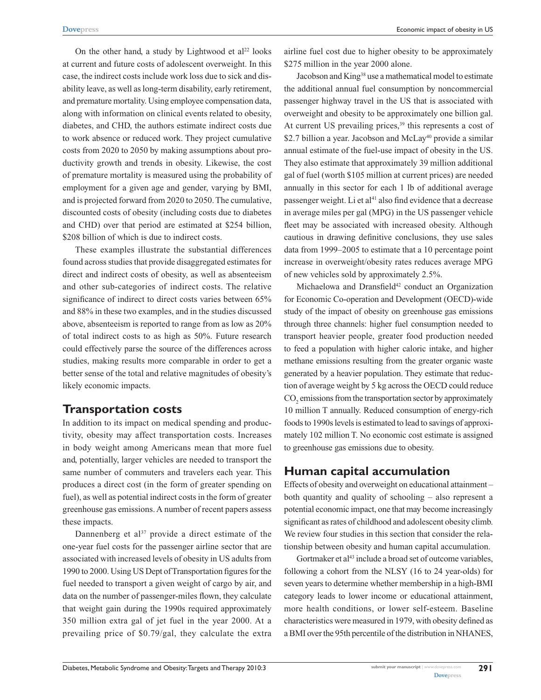On the other hand, a study by Lightwood et  $al^{22}$  looks at current and future costs of adolescent overweight. In this case, the indirect costs include work loss due to sick and disability leave, as well as long-term disability, early retirement, and premature mortality. Using employee compensation data, along with information on clinical events related to obesity, diabetes, and CHD, the authors estimate indirect costs due to work absence or reduced work. They project cumulative costs from 2020 to 2050 by making assumptions about productivity growth and trends in obesity. Likewise, the cost of premature mortality is measured using the probability of employment for a given age and gender, varying by BMI, and is projected forward from 2020 to 2050. The cumulative, discounted costs of obesity (including costs due to diabetes and CHD) over that period are estimated at \$254 billion, \$208 billion of which is due to indirect costs.

These examples illustrate the substantial differences found across studies that provide disaggregated estimates for direct and indirect costs of obesity, as well as absenteeism and other sub-categories of indirect costs. The relative significance of indirect to direct costs varies between 65% and 88% in these two examples, and in the studies discussed above, absenteeism is reported to range from as low as 20% of total indirect costs to as high as 50%. Future research could effectively parse the source of the differences across studies, making results more comparable in order to get a better sense of the total and relative magnitudes of obesity's likely economic impacts.

## **Transportation costs**

In addition to its impact on medical spending and productivity, obesity may affect transportation costs. Increases in body weight among Americans mean that more fuel and, potentially, larger vehicles are needed to transport the same number of commuters and travelers each year. This produces a direct cost (in the form of greater spending on fuel), as well as potential indirect costs in the form of greater greenhouse gas emissions. A number of recent papers assess these impacts.

Dannenberg et  $a^{37}$  provide a direct estimate of the one-year fuel costs for the passenger airline sector that are associated with increased levels of obesity in US adults from 1990 to 2000. Using US Dept of Transportation figures for the fuel needed to transport a given weight of cargo by air, and data on the number of passenger-miles flown, they calculate that weight gain during the 1990s required approximately 350 million extra gal of jet fuel in the year 2000. At a prevailing price of \$0.79/gal, they calculate the extra

airline fuel cost due to higher obesity to be approximately \$275 million in the year 2000 alone.

Jacobson and King38 use a mathematical model to estimate the additional annual fuel consumption by noncommercial passenger highway travel in the US that is associated with overweight and obesity to be approximately one billion gal. At current US prevailing prices, $39$  this represents a cost of \$2.7 billion a year. Jacobson and McLay<sup>40</sup> provide a similar annual estimate of the fuel-use impact of obesity in the US. They also estimate that approximately 39 million additional gal of fuel (worth \$105 million at current prices) are needed annually in this sector for each 1 lb of additional average passenger weight. Li et al<sup>41</sup> also find evidence that a decrease in average miles per gal (MPG) in the US passenger vehicle fleet may be associated with increased obesity. Although cautious in drawing definitive conclusions, they use sales data from 1999–2005 to estimate that a 10 percentage point increase in overweight/obesity rates reduces average MPG of new vehicles sold by approximately 2.5%.

Michaelowa and Dransfield<sup>42</sup> conduct an Organization for Economic Co-operation and Development (OECD)-wide study of the impact of obesity on greenhouse gas emissions through three channels: higher fuel consumption needed to transport heavier people, greater food production needed to feed a population with higher caloric intake, and higher methane emissions resulting from the greater organic waste generated by a heavier population. They estimate that reduction of average weight by 5 kg across the OECD could reduce  $\mathrm{CO}_2$  emissions from the transportation sector by approximately 10 million T annually. Reduced consumption of energy-rich foods to 1990s levels is estimated to lead to savings of approximately 102 million T. No economic cost estimate is assigned to greenhouse gas emissions due to obesity.

## **Human capital accumulation**

Effects of obesity and overweight on educational attainment – both quantity and quality of schooling – also represent a potential economic impact, one that may become increasingly significant as rates of childhood and adolescent obesity climb. We review four studies in this section that consider the relationship between obesity and human capital accumulation.

Gortmaker et al<sup>43</sup> include a broad set of outcome variables, following a cohort from the NLSY (16 to 24 year-olds) for seven years to determine whether membership in a high-BMI category leads to lower income or educational attainment, more health conditions, or lower self-esteem. Baseline characteristics were measured in 1979, with obesity defined as a BMI over the 95th percentile of the distribution in NHANES,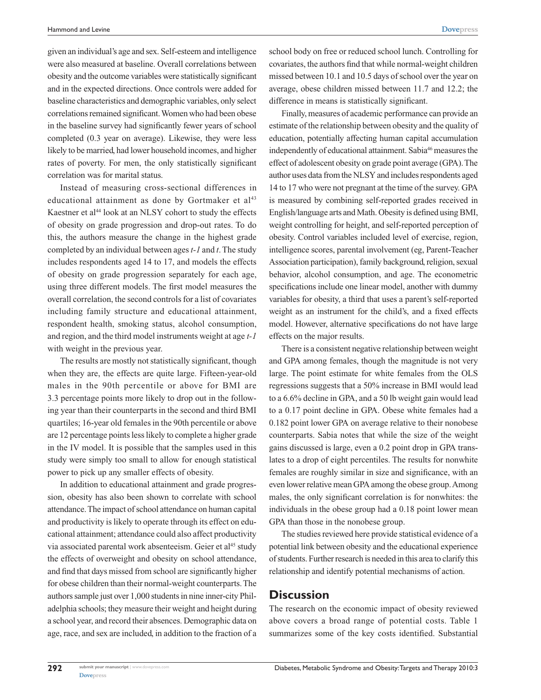**[Dovepress](www.dovepress.com)**

given an individual's age and sex. Self-esteem and intelligence were also measured at baseline. Overall correlations between obesity and the outcome variables were statistically significant and in the expected directions. Once controls were added for baseline characteristics and demographic variables, only select correlations remained significant. Women who had been obese in the baseline survey had significantly fewer years of school completed (0.3 year on average). Likewise, they were less likely to be married, had lower household incomes, and higher rates of poverty. For men, the only statistically significant correlation was for marital status.

Instead of measuring cross-sectional differences in educational attainment as done by Gortmaker et al<sup>43</sup> Kaestner et al<sup>44</sup> look at an NLSY cohort to study the effects of obesity on grade progression and drop-out rates. To do this, the authors measure the change in the highest grade completed by an individual between ages *t-1* and *t*. The study includes respondents aged 14 to 17, and models the effects of obesity on grade progression separately for each age, using three different models. The first model measures the overall correlation, the second controls for a list of covariates including family structure and educational attainment, respondent health, smoking status, alcohol consumption, and region, and the third model instruments weight at age *t-1* with weight in the previous year.

The results are mostly not statistically significant, though when they are, the effects are quite large. Fifteen-year-old males in the 90th percentile or above for BMI are 3.3 percentage points more likely to drop out in the following year than their counterparts in the second and third BMI quartiles; 16-year old females in the 90th percentile or above are 12 percentage points less likely to complete a higher grade in the IV model. It is possible that the samples used in this study were simply too small to allow for enough statistical power to pick up any smaller effects of obesity.

In addition to educational attainment and grade progression, obesity has also been shown to correlate with school attendance. The impact of school attendance on human capital and productivity is likely to operate through its effect on educational attainment; attendance could also affect productivity via associated parental work absenteeism. Geier et al<sup>45</sup> study the effects of overweight and obesity on school attendance, and find that days missed from school are significantly higher for obese children than their normal-weight counterparts. The authors sample just over 1,000 students in nine inner-city Philadelphia schools; they measure their weight and height during a school year, and record their absences. Demographic data on age, race, and sex are included, in addition to the fraction of a school body on free or reduced school lunch. Controlling for covariates, the authors find that while normal-weight children missed between 10.1 and 10.5 days of school over the year on average, obese children missed between 11.7 and 12.2; the difference in means is statistically significant.

Finally, measures of academic performance can provide an estimate of the relationship between obesity and the quality of education, potentially affecting human capital accumulation independently of educational attainment. Sabia<sup>46</sup> measures the effect of adolescent obesity on grade point average (GPA). The author uses data from the NLSY and includes respondents aged 14 to 17 who were not pregnant at the time of the survey. GPA is measured by combining self-reported grades received in English/language arts and Math. Obesity is defined using BMI, weight controlling for height, and self-reported perception of obesity. Control variables included level of exercise, region, intelligence scores, parental involvement (eg, Parent-Teacher Association participation), family background, religion, sexual behavior, alcohol consumption, and age. The econometric specifications include one linear model, another with dummy variables for obesity, a third that uses a parent's self-reported weight as an instrument for the child's, and a fixed effects model. However, alternative specifications do not have large effects on the major results.

There is a consistent negative relationship between weight and GPA among females, though the magnitude is not very large. The point estimate for white females from the OLS regressions suggests that a 50% increase in BMI would lead to a 6.6% decline in GPA, and a 50 lb weight gain would lead to a 0.17 point decline in GPA. Obese white females had a 0.182 point lower GPA on average relative to their nonobese counterparts. Sabia notes that while the size of the weight gains discussed is large, even a 0.2 point drop in GPA translates to a drop of eight percentiles. The results for nonwhite females are roughly similar in size and significance, with an even lower relative mean GPA among the obese group. Among males, the only significant correlation is for nonwhites: the individuals in the obese group had a 0.18 point lower mean GPA than those in the nonobese group.

The studies reviewed here provide statistical evidence of a potential link between obesity and the educational experience of students. Further research is needed in this area to clarify this relationship and identify potential mechanisms of action.

#### **Discussion**

The research on the economic impact of obesity reviewed above covers a broad range of potential costs. Table 1 summarizes some of the key costs identified. Substantial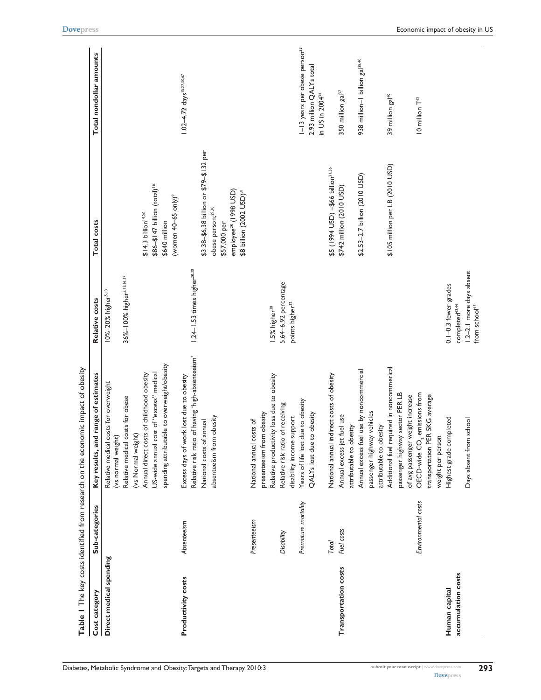|                           |                     | Table I The key costs identified from research on the economic impact of obesity |                                                       |                                                                           |                                                         |
|---------------------------|---------------------|----------------------------------------------------------------------------------|-------------------------------------------------------|---------------------------------------------------------------------------|---------------------------------------------------------|
| Cost category             | Sub-categories      | id range of estimates<br>Key results, ar                                         | Relative costs                                        | Total costs                                                               | Total nondollar amounts                                 |
| Direct medical spending   |                     | Relative medical costs for overweight<br>(vs normal weight)                      | 10%-20% higher <sup>5,13</sup>                        |                                                                           |                                                         |
|                           |                     | Relative medical costs for obese<br>(vs Normal weight)                           | 36%-100% higher <sup>5,13,16,17</sup>                 |                                                                           |                                                         |
|                           |                     | Annual direct costs of childhood obesity                                         |                                                       | \$14.3 billion <sup>19,20</sup>                                           |                                                         |
|                           |                     | cost of "excess" medical<br>US-wide annual                                       |                                                       | \$86-\$147 billion (total) <sup>16</sup>                                  |                                                         |
|                           |                     | spending attributable to overweight/obesity                                      |                                                       | \$640 million                                                             |                                                         |
| <b>Productivity costs</b> | Absenteeism         | Excess days of work lost due to obesity                                          |                                                       | (women 40-65 only) <sup>9</sup>                                           | 1.02-4.72 days <sup>15,27,30,67</sup>                   |
|                           |                     | Relative risk ratio of having 'high-absenteeism'                                 | 1.24-1.53 times higher <sup>28.30</sup>               |                                                                           |                                                         |
|                           |                     | National costs of annual                                                         |                                                       | \$3.38-\$6.38 billion or \$79-\$132 per                                   |                                                         |
|                           |                     | absenteeism from obesity                                                         |                                                       | obese person;29,30<br>\$57,000 per                                        |                                                         |
|                           |                     |                                                                                  |                                                       | employee <sup>28</sup> (1998 USD)<br>\$8 billion (2002 USD) <sup>31</sup> |                                                         |
|                           | Presenteeism        | costs of<br>National annual                                                      |                                                       |                                                                           |                                                         |
|                           |                     | presenteeism from obesity                                                        |                                                       |                                                                           |                                                         |
|                           |                     | Relative productivity loss due to obesity                                        | I.5% higher <sup>30</sup>                             |                                                                           |                                                         |
|                           | Disability          | Relative risk ratio of receiving                                                 | 5.64-6.92 percentage                                  |                                                                           |                                                         |
|                           |                     | disability income support                                                        | points higher <sup>32</sup>                           |                                                                           |                                                         |
|                           | Premature mortality | due to obesity<br>Years of life lost                                             |                                                       |                                                                           | 1-13 years per obese person <sup>33</sup>               |
|                           |                     | to obesity<br>QALYs lost due                                                     |                                                       |                                                                           | 2.93 million QALYs total<br>in US in 2004 <sup>34</sup> |
|                           | Total               | indirect costs of obesity<br>National annual                                     |                                                       | \$5 (1994 USD) - \$66 billion <sup>31,36</sup>                            |                                                         |
| Transportation costs      | Fuel costs          | Annual excess jet fuel use                                                       |                                                       | \$742 million (2010 USD)                                                  | 350 million gal <sup>37</sup>                           |
|                           |                     | attributable to obesity                                                          |                                                       |                                                                           |                                                         |
|                           |                     | Annual excess fuel use by noncommercial                                          |                                                       | \$2.53-2.7 billion (2010 USD)                                             | 938 million-I billion gal <sup>38,40</sup>              |
|                           |                     | passenger highway vehicles                                                       |                                                       |                                                                           |                                                         |
|                           |                     | attributable to obesity                                                          |                                                       |                                                                           |                                                         |
|                           |                     | Additional fuel required in noncommerical                                        |                                                       | \$105 million per LB (2010 USD)                                           | 39 million gal <sup>40</sup>                            |
|                           |                     | passenger highway sector PER LB                                                  |                                                       |                                                                           |                                                         |
|                           |                     | of avg passenger weight increase                                                 |                                                       |                                                                           |                                                         |
|                           | Environmental costs | OECD-wide CO <sub>2</sub> emissions from                                         |                                                       |                                                                           | 10 million T <sup>42</sup>                              |
|                           |                     | transportation PER 5KG average                                                   |                                                       |                                                                           |                                                         |
|                           |                     | weight per person                                                                |                                                       |                                                                           |                                                         |
| Human capital             |                     | Highest grade completed                                                          | $0.1 - 0.3$ fewer grades                              |                                                                           |                                                         |
| accumulation costs        |                     |                                                                                  | completed <sup>43,44</sup>                            |                                                                           |                                                         |
|                           |                     | Days absent from school                                                          | 1.2-2.1 more days absent<br>from school <sup>45</sup> |                                                                           |                                                         |
|                           |                     |                                                                                  |                                                       |                                                                           |                                                         |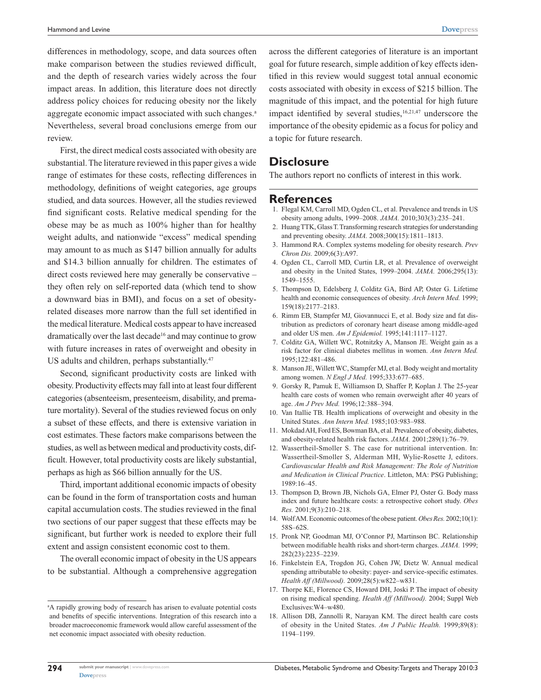differences in methodology, scope, and data sources often make comparison between the studies reviewed difficult, and the depth of research varies widely across the four impact areas. In addition, this literature does not directly address policy choices for reducing obesity nor the likely aggregate economic impact associated with such changes.<sup>a</sup> Nevertheless, several broad conclusions emerge from our review.

First, the direct medical costs associated with obesity are substantial. The literature reviewed in this paper gives a wide range of estimates for these costs, reflecting differences in methodology, definitions of weight categories, age groups studied, and data sources. However, all the studies reviewed find significant costs. Relative medical spending for the obese may be as much as 100% higher than for healthy weight adults, and nationwide "excess" medical spending may amount to as much as \$147 billion annually for adults and \$14.3 billion annually for children. The estimates of direct costs reviewed here may generally be conservative – they often rely on self-reported data (which tend to show a downward bias in BMI), and focus on a set of obesityrelated diseases more narrow than the full set identified in the medical literature. Medical costs appear to have increased dramatically over the last decade<sup>16</sup> and may continue to grow with future increases in rates of overweight and obesity in US adults and children, perhaps substantially.<sup>47</sup>

Second, significant productivity costs are linked with obesity. Productivity effects may fall into at least four different categories (absenteeism, presenteeism, disability, and premature mortality). Several of the studies reviewed focus on only a subset of these effects, and there is extensive variation in cost estimates. These factors make comparisons between the studies, as well as between medical and productivity costs, difficult. However, total productivity costs are likely substantial, perhaps as high as \$66 billion annually for the US.

Third, important additional economic impacts of obesity can be found in the form of transportation costs and human capital accumulation costs. The studies reviewed in the final two sections of our paper suggest that these effects may be significant, but further work is needed to explore their full extent and assign consistent economic cost to them.

The overall economic impact of obesity in the US appears to be substantial. Although a comprehensive aggregation across the different categories of literature is an important goal for future research, simple addition of key effects identified in this review would suggest total annual economic costs associated with obesity in excess of \$215 billion. The magnitude of this impact, and the potential for high future impact identified by several studies,  $16,21,47$  underscore the importance of the obesity epidemic as a focus for policy and a topic for future research.

#### **Disclosure**

The authors report no conflicts of interest in this work.

#### **References**

- 1. Flegal KM, Carroll MD, Ogden CL, et al. Prevalence and trends in US obesity among adults, 1999–2008. *JAMA.* 2010;303(3):235–241.
- 2. Huang TTK, Glass T. Transforming research strategies for understanding and preventing obesity. *JAMA.* 2008;300(15):1811–1813.
- 3. Hammond RA. Complex systems modeling for obesity research. *Prev Chron Dis.* 2009;6(3):A97.
- 4. Ogden CL, Carroll MD, Curtin LR, et al. Prevalence of overweight and obesity in the United States, 1999–2004. *JAMA.* 2006;295(13): 1549–1555.
- 5. Thompson D, Edelsberg J, Colditz GA, Bird AP, Oster G. Lifetime health and economic consequences of obesity. *Arch Intern Med.* 1999; 159(18):2177–2183.
- 6. Rimm EB, Stampfer MJ, Giovannucci E, et al. Body size and fat distribution as predictors of coronary heart disease among middle-aged and older US men. *Am J Epidemiol.* 1995;141:1117–1127.
- 7. Colditz GA, Willett WC, Rotnitzky A, Manson JE. Weight gain as a risk factor for clinical diabetes mellitus in women. *Ann Intern Med.* 1995;122:481–486.
- 8. Manson JE, Willett WC, Stampfer MJ, et al. Body weight and mortality among women. *N Engl J Med.* 1995;333:677–685.
- 9. Gorsky R, Pamuk E, Williamson D, Shaffer P, Koplan J. The 25-year health care costs of women who remain overweight after 40 years of age. *Am J Prev Med.* 1996;12:388–394.
- 10. Van Itallie TB. Health implications of overweight and obesity in the United States. *Ann Intern Med.* 1985;103:983–988.
- 11. Mokdad AH, Ford ES, Bowman BA, et al. Prevalence of obesity, diabetes, and obesity-related health risk factors. *JAMA.* 2001;289(1):76–79.
- 12. Wassertheil-Smoller S. The case for nutritional intervention. In: Wassertheil-Smoller S, Alderman MH, Wylie-Rosette J, editors. *Cardiovascular Health and Risk Management: The Role of Nutrition and Medication in Clinical Practice*. Littleton, MA: PSG Publishing; 1989:16–45.
- 13. Thompson D, Brown JB, Nichols GA, Elmer PJ, Oster G. Body mass index and future healthcare costs: a retrospective cohort study. *Obes Res.* 2001;9(3):210–218.
- 14. Wolf AM. Economic outcomes of the obese patient. *Obes Res.* 2002;10(1): 58S–62S.
- 15. Pronk NP, Goodman MJ, O'Connor PJ, Martinson BC. Relationship between modifiable health risks and short-term charges. *JAMA.* 1999; 282(23):2235–2239.
- 16. Finkelstein EA, Trogdon JG, Cohen JW, Dietz W. Annual medical spending attributable to obesity: payer- and service-specific estimates. *Health Aff (Millwood).* 2009;28(5):w822–w831.
- 17. Thorpe KE, Florence CS, Howard DH, Joski P. The impact of obesity on rising medical spending. *Health Aff (Millwood).* 2004; Suppl Web Exclusives:W4–w480.
- 18. Allison DB, Zannolli R, Narayan KM. The direct health care costs of obesity in the United States. *Am J Public Health.* 1999;89(8): 1194–1199.

<sup>&</sup>lt;sup>a</sup>A rapidly growing body of research has arisen to evaluate potential costs and benefits of specific interventions. Integration of this research into a broader macroeconomic framework would allow careful assessment of the net economic impact associated with obesity reduction.